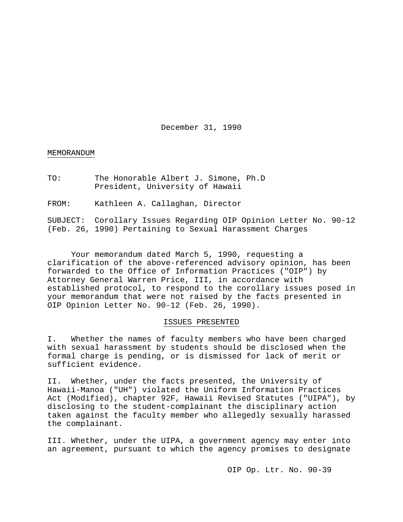December 31, 1990

### MEMORANDUM

TO: The Honorable Albert J. Simone, Ph.D President, University of Hawaii

FROM: Kathleen A. Callaghan, Director

SUBJECT: Corollary Issues Regarding OIP Opinion Letter No. 90-12 (Feb. 26, 1990) Pertaining to Sexual Harassment Charges

Your memorandum dated March 5, 1990, requesting a clarification of the above-referenced advisory opinion, has been forwarded to the Office of Information Practices ("OIP") by Attorney General Warren Price, III, in accordance with established protocol, to respond to the corollary issues posed in your memorandum that were not raised by the facts presented in OIP Opinion Letter No. 90-12 (Feb. 26, 1990).

## ISSUES PRESENTED

I. Whether the names of faculty members who have been charged with sexual harassment by students should be disclosed when the formal charge is pending, or is dismissed for lack of merit or sufficient evidence.

II. Whether, under the facts presented, the University of Hawaii-Manoa ("UH") violated the Uniform Information Practices Act (Modified), chapter 92F, Hawaii Revised Statutes ("UIPA"), by disclosing to the student-complainant the disciplinary action taken against the faculty member who allegedly sexually harassed the complainant.

III. Whether, under the UIPA, a government agency may enter into an agreement, pursuant to which the agency promises to designate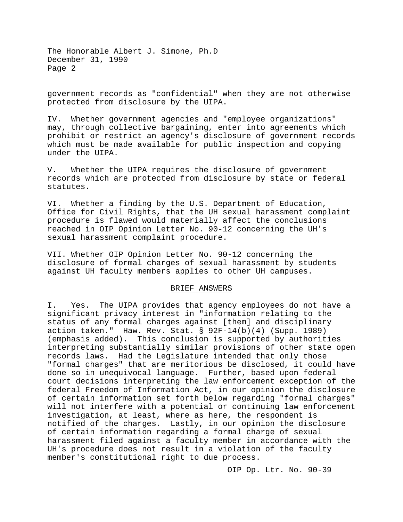government records as "confidential" when they are not otherwise protected from disclosure by the UIPA.

IV. Whether government agencies and "employee organizations" may, through collective bargaining, enter into agreements which prohibit or restrict an agency's disclosure of government records which must be made available for public inspection and copying under the UIPA.

V. Whether the UIPA requires the disclosure of government records which are protected from disclosure by state or federal statutes.

VI. Whether a finding by the U.S. Department of Education, Office for Civil Rights, that the UH sexual harassment complaint procedure is flawed would materially affect the conclusions reached in OIP Opinion Letter No. 90-12 concerning the UH's sexual harassment complaint procedure.

VII. Whether OIP Opinion Letter No. 90-12 concerning the disclosure of formal charges of sexual harassment by students against UH faculty members applies to other UH campuses.

## BRIEF ANSWERS

I. Yes. The UIPA provides that agency employees do not have a significant privacy interest in "information relating to the status of any formal charges against [them] and disciplinary action taken." Haw. Rev. Stat. § 92F-14(b)(4) (Supp. 1989) (emphasis added). This conclusion is supported by authorities interpreting substantially similar provisions of other state open records laws. Had the Legislature intended that only those "formal charges" that are meritorious be disclosed, it could have done so in unequivocal language. Further, based upon federal court decisions interpreting the law enforcement exception of the federal Freedom of Information Act, in our opinion the disclosure of certain information set forth below regarding "formal charges" will not interfere with a potential or continuing law enforcement investigation, at least, where as here, the respondent is notified of the charges. Lastly, in our opinion the disclosure of certain information regarding a formal charge of sexual harassment filed against a faculty member in accordance with the UH's procedure does not result in a violation of the faculty member's constitutional right to due process.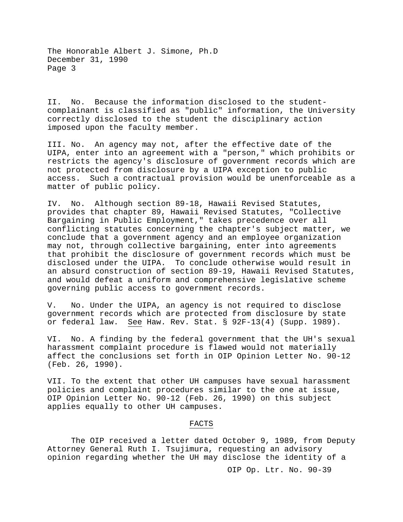II. No. Because the information disclosed to the studentcomplainant is classified as "public" information, the University correctly disclosed to the student the disciplinary action imposed upon the faculty member.

III. No. An agency may not, after the effective date of the UIPA, enter into an agreement with a "person," which prohibits or restricts the agency's disclosure of government records which are not protected from disclosure by a UIPA exception to public access. Such a contractual provision would be unenforceable as a matter of public policy.

IV. No. Although section 89-18, Hawaii Revised Statutes, provides that chapter 89, Hawaii Revised Statutes, "Collective Bargaining in Public Employment," takes precedence over all conflicting statutes concerning the chapter's subject matter, we conclude that a government agency and an employee organization may not, through collective bargaining, enter into agreements that prohibit the disclosure of government records which must be disclosed under the UIPA. To conclude otherwise would result in an absurd construction of section 89-19, Hawaii Revised Statutes, and would defeat a uniform and comprehensive legislative scheme governing public access to government records.

V. No. Under the UIPA, an agency is not required to disclose government records which are protected from disclosure by state or federal law. See Haw. Rev. Stat. § 92F-13(4) (Supp. 1989).

VI. No. A finding by the federal government that the UH's sexual harassment complaint procedure is flawed would not materially affect the conclusions set forth in OIP Opinion Letter No. 90-12 (Feb. 26, 1990).

VII. To the extent that other UH campuses have sexual harassment policies and complaint procedures similar to the one at issue, OIP Opinion Letter No. 90-12 (Feb. 26, 1990) on this subject applies equally to other UH campuses.

## FACTS

The OIP received a letter dated October 9, 1989, from Deputy Attorney General Ruth I. Tsujimura, requesting an advisory opinion regarding whether the UH may disclose the identity of a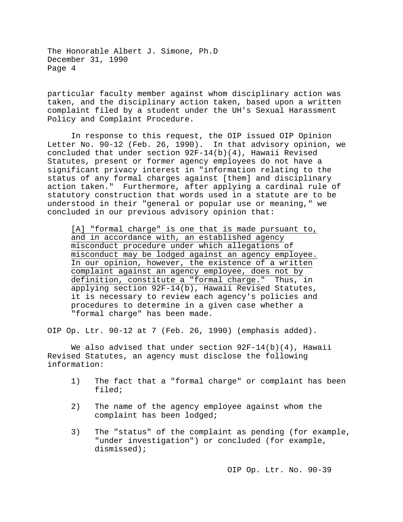particular faculty member against whom disciplinary action was taken, and the disciplinary action taken, based upon a written complaint filed by a student under the UH's Sexual Harassment Policy and Complaint Procedure.

In response to this request, the OIP issued OIP Opinion Letter No. 90-12 (Feb. 26, 1990). In that advisory opinion, we concluded that under section 92F-14(b)(4), Hawaii Revised Statutes, present or former agency employees do not have a significant privacy interest in "information relating to the status of any formal charges against [them] and disciplinary action taken." Furthermore, after applying a cardinal rule of statutory construction that words used in a statute are to be understood in their "general or popular use or meaning," we concluded in our previous advisory opinion that:

[A] "formal charge" is one that is made pursuant to, and in accordance with, an established agency misconduct procedure under which allegations of misconduct may be lodged against an agency employee. In our opinion, however, the existence of a written complaint against an agency employee, does not by definition, constitute a "formal charge." Thus, in applying section 92F-14(b), Hawaii Revised Statutes, it is necessary to review each agency's policies and procedures to determine in a given case whether a "formal charge" has been made.

OIP Op. Ltr. 90-12 at 7 (Feb. 26, 1990) (emphasis added).

We also advised that under section 92F-14(b)(4), Hawaii Revised Statutes, an agency must disclose the following information:

- 1) The fact that a "formal charge" or complaint has been filed;
- 2) The name of the agency employee against whom the complaint has been lodged;
- 3) The "status" of the complaint as pending (for example, "under investigation") or concluded (for example, dismissed);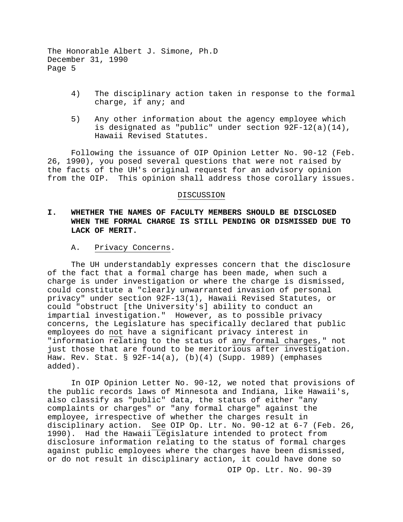- 4) The disciplinary action taken in response to the formal charge, if any; and
- 5) Any other information about the agency employee which is designated as "public" under section 92F-12(a)(14), Hawaii Revised Statutes.

Following the issuance of OIP Opinion Letter No. 90-12 (Feb. 26, 1990), you posed several questions that were not raised by the facts of the UH's original request for an advisory opinion from the OIP. This opinion shall address those corollary issues.

## DISCUSSION

# **I. WHETHER THE NAMES OF FACULTY MEMBERS SHOULD BE DISCLOSED WHEN THE FORMAL CHARGE IS STILL PENDING OR DISMISSED DUE TO LACK OF MERIT.**

## A. Privacy Concerns.

The UH understandably expresses concern that the disclosure of the fact that a formal charge has been made, when such a charge is under investigation or where the charge is dismissed, could constitute a "clearly unwarranted invasion of personal privacy" under section 92F-13(1), Hawaii Revised Statutes, or could "obstruct [the University's] ability to conduct an impartial investigation." However, as to possible privacy concerns, the Legislature has specifically declared that public employees do not have a significant privacy interest in "information relating to the status of any formal charges," not just those that are found to be meritorious after investigation. Haw. Rev. Stat. § 92F-14(a), (b)(4) (Supp. 1989) (emphases added).

In OIP Opinion Letter No. 90-12, we noted that provisions of the public records laws of Minnesota and Indiana, like Hawaii's, also classify as "public" data, the status of either "any complaints or charges" or "any formal charge" against the employee, irrespective of whether the charges result in disciplinary action. See OIP Op. Ltr. No. 90-12 at 6-7 (Feb. 26, 1990). Had the Hawaii Legislature intended to protect from disclosure information relating to the status of formal charges against public employees where the charges have been dismissed, or do not result in disciplinary action, it could have done so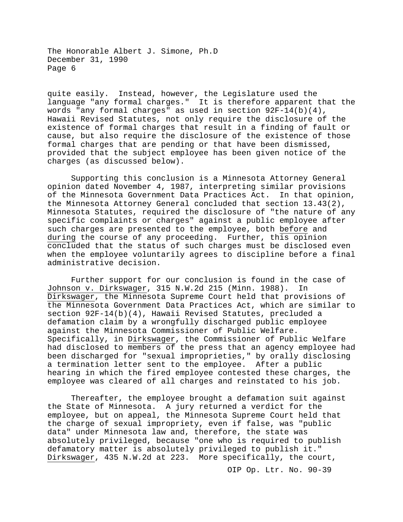quite easily. Instead, however, the Legislature used the language "any formal charges." It is therefore apparent that the words "any formal charges" as used in section 92F-14(b)(4), Hawaii Revised Statutes, not only require the disclosure of the existence of formal charges that result in a finding of fault or cause, but also require the disclosure of the existence of those formal charges that are pending or that have been dismissed, provided that the subject employee has been given notice of the charges (as discussed below).

Supporting this conclusion is a Minnesota Attorney General opinion dated November 4, 1987, interpreting similar provisions of the Minnesota Government Data Practices Act. In that opinion, the Minnesota Attorney General concluded that section 13.43(2), Minnesota Statutes, required the disclosure of "the nature of any specific complaints or charges" against a public employee after such charges are presented to the employee, both before and during the course of any proceeding. Further, this opinion concluded that the status of such charges must be disclosed even when the employee voluntarily agrees to discipline before a final administrative decision.

Further support for our conclusion is found in the case of<br>on v. Dirkswager, 315 N.W.2d 215 (Minn. 1988). In Johnson v. Dirkswager, 315 N.W.2d 215 (Minn. 1988). Dirkswager, the Minnesota Supreme Court held that provisions of the Minnesota Government Data Practices Act, which are similar to section 92F-14(b)(4), Hawaii Revised Statutes, precluded a defamation claim by a wrongfully discharged public employee against the Minnesota Commissioner of Public Welfare. Specifically, in Dirkswager, the Commissioner of Public Welfare had disclosed to members of the press that an agency employee had been discharged for "sexual improprieties," by orally disclosing a termination letter sent to the employee. After a public hearing in which the fired employee contested these charges, the employee was cleared of all charges and reinstated to his job.

Thereafter, the employee brought a defamation suit against the State of Minnesota. A jury returned a verdict for the employee, but on appeal, the Minnesota Supreme Court held that the charge of sexual impropriety, even if false, was "public data" under Minnesota law and, therefore, the state was absolutely privileged, because "one who is required to publish defamatory matter is absolutely privileged to publish it." Dirkswager, 435 N.W.2d at 223. More specifically, the court,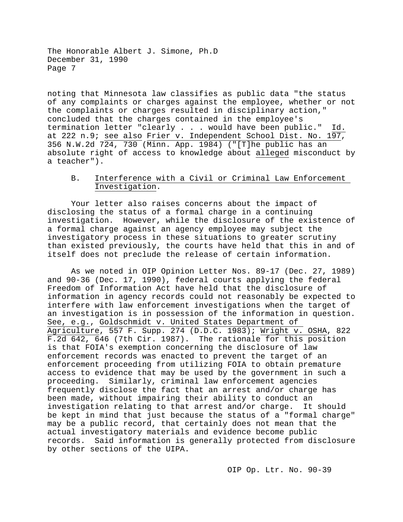noting that Minnesota law classifies as public data "the status of any complaints or charges against the employee, whether or not the complaints or charges resulted in disciplinary action," concluded that the charges contained in the employee's termination letter "clearly . . . would have been public." Id. at 222 n.9; see also Frier v. Independent School Dist. No. 197, 356 N.W.2d 724, 730 (Minn. App. 1984) ("[T]he public has an absolute right of access to knowledge about alleged misconduct by a teacher").

## B. Interference with a Civil or Criminal Law Enforcement Investigation.

Your letter also raises concerns about the impact of disclosing the status of a formal charge in a continuing investigation. However, while the disclosure of the existence of a formal charge against an agency employee may subject the investigatory process in these situations to greater scrutiny than existed previously, the courts have held that this in and of itself does not preclude the release of certain information.

As we noted in OIP Opinion Letter Nos. 89-17 (Dec. 27, 1989) and 90-36 (Dec. 17, 1990), federal courts applying the federal Freedom of Information Act have held that the disclosure of information in agency records could not reasonably be expected to interfere with law enforcement investigations when the target of an investigation is in possession of the information in question. See, e.g., Goldschmidt v. United States Department of Agriculture, 557 F. Supp. 274 (D.D.C. 1983); Wright v. OSHA, 822 F.2d 642, 646 (7th Cir. 1987). The rationale for this position is that FOIA's exemption concerning the disclosure of law enforcement records was enacted to prevent the target of an enforcement proceeding from utilizing FOIA to obtain premature access to evidence that may be used by the government in such a proceeding. Similarly, criminal law enforcement agencies frequently disclose the fact that an arrest and/or charge has been made, without impairing their ability to conduct an<br>investigation relating to that arrest and/or charge. It should investigation relating to that arrest and/or charge. be kept in mind that just because the status of a "formal charge" may be a public record, that certainly does not mean that the actual investigatory materials and evidence become public records. Said information is generally protected from disclosure by other sections of the UIPA.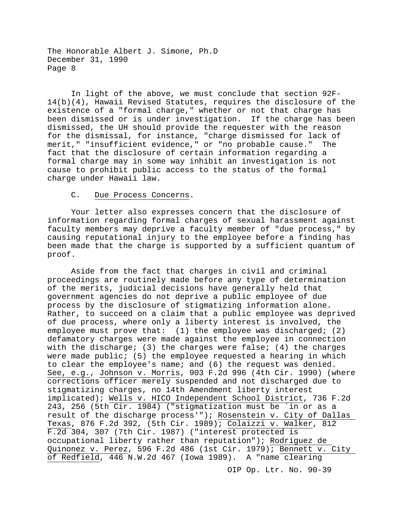In light of the above, we must conclude that section 92F-14(b)(4), Hawaii Revised Statutes, requires the disclosure of the existence of a "formal charge," whether or not that charge has been dismissed or is under investigation. If the charge has been dismissed, the UH should provide the requester with the reason for the dismissal, for instance, "charge dismissed for lack of merit," "insufficient evidence," or "no probable cause." The fact that the disclosure of certain information regarding a formal charge may in some way inhibit an investigation is not cause to prohibit public access to the status of the formal charge under Hawaii law.

## C. Due Process Concerns.

Your letter also expresses concern that the disclosure of information regarding formal charges of sexual harassment against faculty members may deprive a faculty member of "due process," by causing reputational injury to the employee before a finding has been made that the charge is supported by a sufficient quantum of proof.

Aside from the fact that charges in civil and criminal proceedings are routinely made before any type of determination of the merits, judicial decisions have generally held that government agencies do not deprive a public employee of due process by the disclosure of stigmatizing information alone. Rather, to succeed on a claim that a public employee was deprived of due process, where only a liberty interest is involved, the employee must prove that: (1) the employee was discharged; (2) defamatory charges were made against the employee in connection with the discharge; (3) the charges were false; (4) the charges were made public; (5) the employee requested a hearing in which to clear the employee's name; and (6) the request was denied. See, e.g., Johnson v. Morris, 903 F.2d 996 (4th Cir. 1990) (where corrections officer merely suspended and not discharged due to stigmatizing charges, no 14th Amendment liberty interest implicated); Wells v. HICO Independent School District, 736 F.2d 243, 256 (5th Cir. 1984) ("stigmatization must be `in or as a result of the discharge process'"); Rosenstein v. City of Dallas Texas, 876 F.2d 392, (5th Cir. 1989); Colaizzi v. Walker, 812 F.2d 304, 307 (7th Cir. 1987) ("interest protected is occupational liberty rather than reputation"); Rodriguez de Quinonez v. Perez, 596 F.2d 486 (1st Cir. 1979) $\overline{i}$  Bennett v. City of Redfield, 446 N.W.2d 467 (Iowa 1989). A "name clearing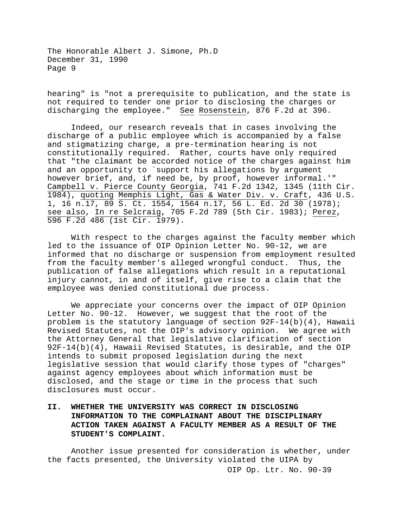hearing" is "not a prerequisite to publication, and the state is not required to tender one prior to disclosing the charges or discharging the employee." See Rosenstein, 876 F.2d at 396.

Indeed, our research reveals that in cases involving the discharge of a public employee which is accompanied by a false and stigmatizing charge, a pre-termination hearing is not constitutionally required. Rather, courts have only required that "the claimant be accorded notice of the charges against him and an opportunity to `support his allegations by argument however brief, and, if need be, by proof, however informal.'" Campbell v. Pierce County Georgia, 741 F.2d 1342, 1345 (11th Cir. 1984), quoting Memphis Light, Gas & Water Div. v. Craft, 436 U.S. 1, 16 n.17, 89 S. Ct. 1554, 1564 n.17, 56 L. Ed. 2d 30 (1978); see also, In re Selcraig, 705 F.2d 789 (5th Cir. 1983); Perez, 596 F.2d 486 (1st Cir. 1979).

With respect to the charges against the faculty member which led to the issuance of OIP Opinion Letter No. 90-12, we are informed that no discharge or suspension from employment resulted from the faculty member's alleged wrongful conduct. Thus, the publication of false allegations which result in a reputational injury cannot, in and of itself, give rise to a claim that the employee was denied constitutional due process.

We appreciate your concerns over the impact of OIP Opinion Letter No. 90-12. However, we suggest that the root of the problem is the statutory language of section 92F-14(b)(4), Hawaii Revised Statutes, not the OIP's advisory opinion. We agree with the Attorney General that legislative clarification of section 92F-14(b)(4), Hawaii Revised Statutes, is desirable, and the OIP intends to submit proposed legislation during the next legislative session that would clarify those types of "charges" against agency employees about which information must be disclosed, and the stage or time in the process that such disclosures must occur.

# **II. WHETHER THE UNIVERSITY WAS CORRECT IN DISCLOSING INFORMATION TO THE COMPLAINANT ABOUT THE DISCIPLINARY ACTION TAKEN AGAINST A FACULTY MEMBER AS A RESULT OF THE STUDENT'S COMPLAINT.**

Another issue presented for consideration is whether, under the facts presented, the University violated the UIPA by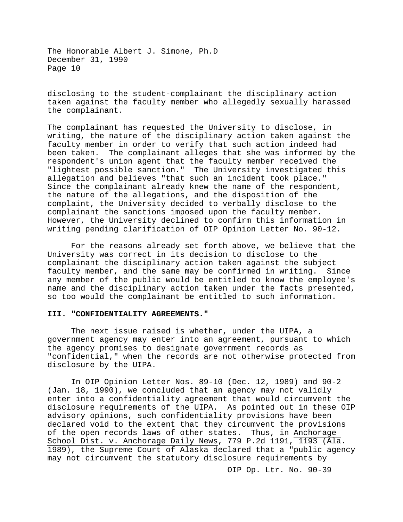disclosing to the student-complainant the disciplinary action taken against the faculty member who allegedly sexually harassed the complainant.

The complainant has requested the University to disclose, in writing, the nature of the disciplinary action taken against the faculty member in order to verify that such action indeed had been taken. The complainant alleges that she was informed by the respondent's union agent that the faculty member received the "lightest possible sanction." The University investigated this allegation and believes "that such an incident took place." Since the complainant already knew the name of the respondent, the nature of the allegations, and the disposition of the complaint, the University decided to verbally disclose to the complainant the sanctions imposed upon the faculty member. However, the University declined to confirm this information in writing pending clarification of OIP Opinion Letter No. 90-12.

For the reasons already set forth above, we believe that the University was correct in its decision to disclose to the complainant the disciplinary action taken against the subject<br>faculty member, and the same may be confirmed in writing. Since faculty member, and the same may be confirmed in writing. any member of the public would be entitled to know the employee's name and the disciplinary action taken under the facts presented, so too would the complainant be entitled to such information.

## **III. "CONFIDENTIALITY AGREEMENTS."**

The next issue raised is whether, under the UIPA, a government agency may enter into an agreement, pursuant to which the agency promises to designate government records as "confidential," when the records are not otherwise protected from disclosure by the UIPA.

In OIP Opinion Letter Nos. 89-10 (Dec. 12, 1989) and 90-2 (Jan. 18, 1990), we concluded that an agency may not validly enter into a confidentiality agreement that would circumvent the disclosure requirements of the UIPA. As pointed out in these OIP advisory opinions, such confidentiality provisions have been declared void to the extent that they circumvent the provisions of the open records laws of other states. Thus, in Anchorage School Dist. v. Anchorage Daily News, 779 P.2d 1191, 1193 (Ala. 1989), the Supreme Court of Alaska declared that a "public agency may not circumvent the statutory disclosure requirements by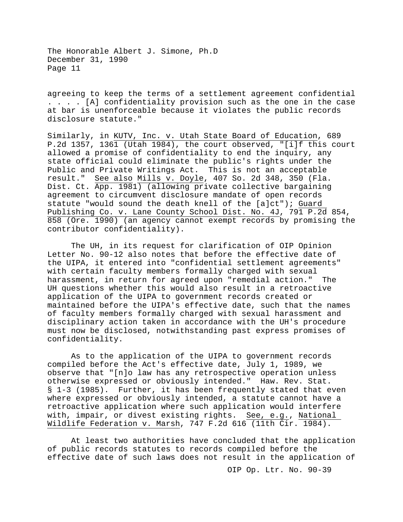agreeing to keep the terms of a settlement agreement confidential . . . . [A] confidentiality provision such as the one in the case at bar is unenforceable because it violates the public records disclosure statute."

Similarly, in KUTV, Inc. v. Utah State Board of Education, 689 P.2d 1357, 1361 (Utah 1984), the court observed, "[i]f this court allowed a promise of confidentiality to end the inquiry, any state official could eliminate the public's rights under the Public and Private Writings Act. This is not an acceptable result." See also Mills v. Doyle, 407 So. 2d 348, 350 (Fla. Dist. Ct. App. 1981) (allowing private collective bargaining agreement to circumvent disclosure mandate of open records statute "would sound the death knell of the [a]ct"); Guard Publishing Co. v. Lane County School Dist. No. 4J, 791 P.2d 854, 858 (Ore. 1990) (an agency cannot exempt records by promising the contributor confidentiality).

The UH, in its request for clarification of OIP Opinion Letter No. 90-12 also notes that before the effective date of the UIPA, it entered into "confidential settlement agreements" with certain faculty members formally charged with sexual harassment, in return for agreed upon "remedial action." The UH questions whether this would also result in a retroactive application of the UIPA to government records created or maintained before the UIPA's effective date, such that the names of faculty members formally charged with sexual harassment and disciplinary action taken in accordance with the UH's procedure must now be disclosed, notwithstanding past express promises of confidentiality.

As to the application of the UIPA to government records compiled before the Act's effective date, July 1, 1989, we observe that "[n]o law has any retrospective operation unless otherwise expressed or obviously intended." Haw. Rev. Stat. § 1-3 (1985). Further, it has been frequently stated that even where expressed or obviously intended, a statute cannot have a retroactive application where such application would interfere with, impair, or divest existing rights. See, e.g., National Wildlife Federation v. Marsh, 747 F.2d 616 (11th Cir. 1984).

At least two authorities have concluded that the application of public records statutes to records compiled before the effective date of such laws does not result in the application of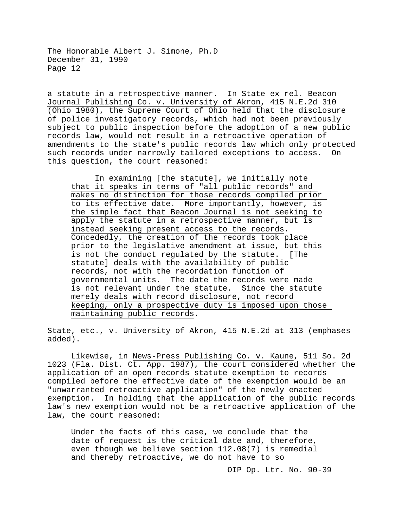a statute in a retrospective manner. In State ex rel. Beacon Journal Publishing Co. v. University of Akron, 415 N.E.2d 310 (Ohio 1980), the Supreme Court of Ohio held that the disclosure of police investigatory records, which had not been previously subject to public inspection before the adoption of a new public records law, would not result in a retroactive operation of amendments to the state's public records law which only protected<br>such records under narrowly tailored exceptions to access. On such records under narrowly tailored exceptions to access. this question, the court reasoned:

In examining [the statute], we initially note that it speaks in terms of "all public records" and makes no distinction for those records compiled prior to its effective date. More importantly, however, is the simple fact that Beacon Journal is not seeking to apply the statute in a retrospective manner, but is instead seeking present access to the records. Concededly, the creation of the records took place prior to the legislative amendment at issue, but this is not the conduct regulated by the statute. [The statute] deals with the availability of public records, not with the recordation function of governmental units. The date the records were made is not relevant under the statute. Since the statute merely deals with record disclosure, not record keeping, only a prospective duty is imposed upon those maintaining public records.

State, etc., v. University of Akron, 415 N.E.2d at 313 (emphases added).

Likewise, in News-Press Publishing Co. v. Kaune, 511 So. 2d 1023 (Fla. Dist. Ct. App. 1987), the court considered whether the application of an open records statute exemption to records compiled before the effective date of the exemption would be an "unwarranted retroactive application" of the newly enacted exemption. In holding that the application of the public records law's new exemption would not be a retroactive application of the law, the court reasoned:

Under the facts of this case, we conclude that the date of request is the critical date and, therefore, even though we believe section 112.08(7) is remedial and thereby retroactive, we do not have to so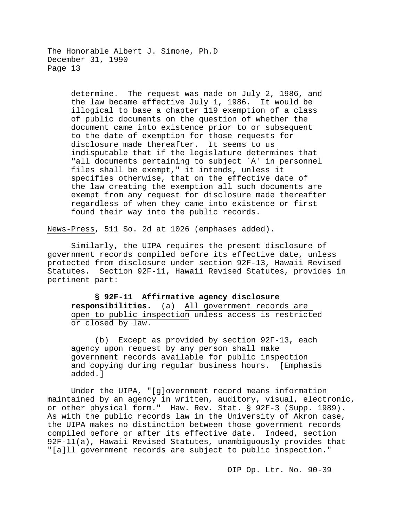> determine. The request was made on July 2, 1986, and the law became effective July 1, 1986. It would be illogical to base a chapter 119 exemption of a class of public documents on the question of whether the document came into existence prior to or subsequent to the date of exemption for those requests for disclosure made thereafter. It seems to us indisputable that if the legislature determines that "all documents pertaining to subject `A' in personnel files shall be exempt," it intends, unless it specifies otherwise, that on the effective date of the law creating the exemption all such documents are exempt from any request for disclosure made thereafter regardless of when they came into existence or first found their way into the public records.

News-Press, 511 So. 2d at 1026 (emphases added).

Similarly, the UIPA requires the present disclosure of government records compiled before its effective date, unless protected from disclosure under section 92F-13, Hawaii Revised Statutes. Section 92F-11, Hawaii Revised Statutes, provides in pertinent part:

**§ 92F-11 Affirmative agency disclosure responsibilities.** (a) All government records are open to public inspection unless access is restricted or closed by law.

(b) Except as provided by section 92F-13, each agency upon request by any person shall make government records available for public inspection and copying during regular business hours. [Emphasis added.]

Under the UIPA, "[g]overnment record means information maintained by an agency in written, auditory, visual, electronic, or other physical form." Haw. Rev. Stat. § 92F-3 (Supp. 1989). As with the public records law in the University of Akron case, the UIPA makes no distinction between those government records compiled before or after its effective date. Indeed, section 92F-11(a), Hawaii Revised Statutes, unambiguously provides that "[a]ll government records are subject to public inspection."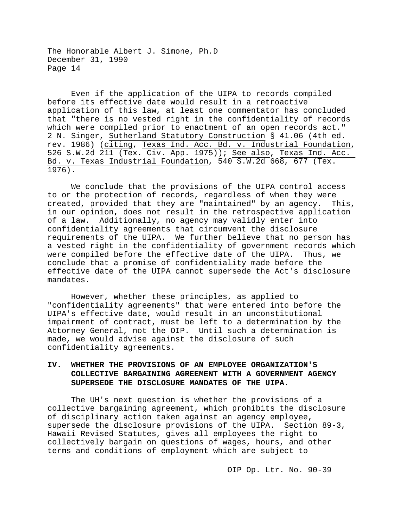Even if the application of the UIPA to records compiled before its effective date would result in a retroactive application of this law, at least one commentator has concluded that "there is no vested right in the confidentiality of records which were compiled prior to enactment of an open records act." 2 N. Singer, Sutherland Statutory Construction § 41.06 (4th ed. rev. 1986) (citing, Texas Ind. Acc. Bd. v. Industrial Foundation, 526 S.W.2d 211 (Tex. Civ. App. 1975)); See also, Texas Ind. Acc. Bd. v. Texas Industrial Foundation, 540 S.W.2d 668, 677 (Tex.  $1976$ .

We conclude that the provisions of the UIPA control access to or the protection of records, regardless of when they were<br>created, provided that they are "maintained" by an agency. This, created, provided that they are "maintained" by an agency. in our opinion, does not result in the retrospective application of a law. Additionally, no agency may validly enter into confidentiality agreements that circumvent the disclosure requirements of the UIPA. We further believe that no person has a vested right in the confidentiality of government records which were compiled before the effective date of the UIPA. Thus, we conclude that a promise of confidentiality made before the effective date of the UIPA cannot supersede the Act's disclosure mandates.

However, whether these principles, as applied to "confidentiality agreements" that were entered into before the UIPA's effective date, would result in an unconstitutional impairment of contract, must be left to a determination by the Attorney General, not the OIP. Until such a determination is made, we would advise against the disclosure of such confidentiality agreements.

## **IV. WHETHER THE PROVISIONS OF AN EMPLOYEE ORGANIZATION'S COLLECTIVE BARGAINING AGREEMENT WITH A GOVERNMENT AGENCY SUPERSEDE THE DISCLOSURE MANDATES OF THE UIPA.**

The UH's next question is whether the provisions of a collective bargaining agreement, which prohibits the disclosure of disciplinary action taken against an agency employee, supersede the disclosure provisions of the UIPA. Section 89-3, Hawaii Revised Statutes, gives all employees the right to collectively bargain on questions of wages, hours, and other terms and conditions of employment which are subject to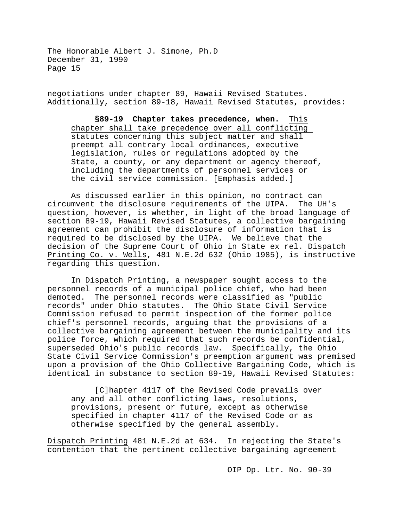negotiations under chapter 89, Hawaii Revised Statutes. Additionally, section 89-18, Hawaii Revised Statutes, provides:

**§89-19 Chapter takes precedence, when.** This chapter shall take precedence over all conflicting statutes concerning this subject matter and shall preempt all contrary local ordinances, executive legislation, rules or regulations adopted by the State, a county, or any department or agency thereof, including the departments of personnel services or the civil service commission. [Emphasis added.]

As discussed earlier in this opinion, no contract can circumvent the disclosure requirements of the UIPA. The UH's question, however, is whether, in light of the broad language of section 89-19, Hawaii Revised Statutes, a collective bargaining agreement can prohibit the disclosure of information that is required to be disclosed by the UIPA. We believe that the decision of the Supreme Court of Ohio in State ex rel. Dispatch Printing Co. v. Wells, 481 N.E.2d 632 (Ohio 1985), is instructive regarding this question.

In Dispatch Printing, a newspaper sought access to the personnel records of a municipal police chief, who had been demoted. The personnel records were classified as "public records" under Ohio statutes. The Ohio State Civil Service Commission refused to permit inspection of the former police chief's personnel records, arguing that the provisions of a collective bargaining agreement between the municipality and its police force, which required that such records be confidential, superseded Ohio's public records law. Specifically, the Ohio State Civil Service Commission's preemption argument was premised upon a provision of the Ohio Collective Bargaining Code, which is identical in substance to section 89-19, Hawaii Revised Statutes:

[C]hapter 4117 of the Revised Code prevails over any and all other conflicting laws, resolutions, provisions, present or future, except as otherwise specified in chapter 4117 of the Revised Code or as otherwise specified by the general assembly.

Dispatch Printing 481 N.E.2d at 634. In rejecting the State's contention that the pertinent collective bargaining agreement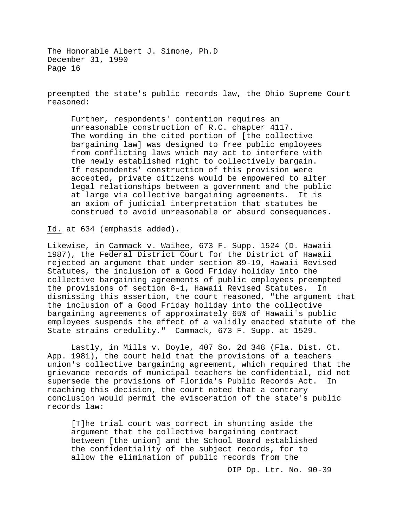preempted the state's public records law, the Ohio Supreme Court reasoned:

Further, respondents' contention requires an unreasonable construction of R.C. chapter 4117. The wording in the cited portion of [the collective bargaining law] was designed to free public employees from conflicting laws which may act to interfere with the newly established right to collectively bargain. If respondents' construction of this provision were accepted, private citizens would be empowered to alter legal relationships between a government and the public<br>at large via collective bargaining agreements. It is at large via collective bargaining agreements. an axiom of judicial interpretation that statutes be construed to avoid unreasonable or absurd consequences.

Id. at 634 (emphasis added).

Likewise, in Cammack v. Waihee, 673 F. Supp. 1524 (D. Hawaii 1987), the Federal District Court for the District of Hawaii rejected an argument that under section 89-19, Hawaii Revised Statutes, the inclusion of a Good Friday holiday into the collective bargaining agreements of public employees preempted<br>the provisions of section 8-1, Hawaii Revised Statutes. In the provisions of section 8-1, Hawaii Revised Statutes. dismissing this assertion, the court reasoned, "the argument that the inclusion of a Good Friday holiday into the collective bargaining agreements of approximately 65% of Hawaii's public employees suspends the effect of a validly enacted statute of the State strains credulity." Cammack, 673 F. Supp. at 1529.

Lastly, in Mills v. Doyle, 407 So. 2d 348 (Fla. Dist. Ct. App. 1981), the court held that the provisions of a teachers union's collective bargaining agreement, which required that the grievance records of municipal teachers be confidential, did not<br>supersede the provisions of Florida's Public Records Act. In supersede the provisions of Florida's Public Records Act. reaching this decision, the court noted that a contrary conclusion would permit the evisceration of the state's public records law:

[T]he trial court was correct in shunting aside the argument that the collective bargaining contract between [the union] and the School Board established the confidentiality of the subject records, for to allow the elimination of public records from the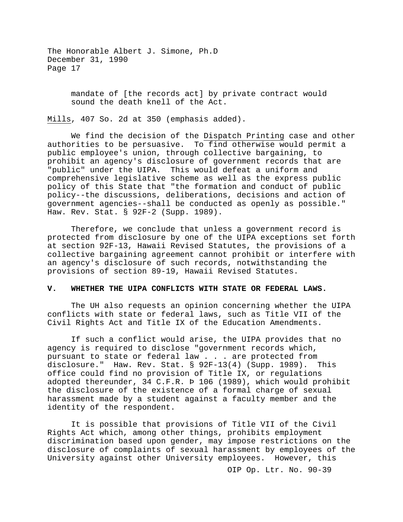> mandate of [the records act] by private contract would sound the death knell of the Act.

Mills, 407 So. 2d at 350 (emphasis added).

We find the decision of the Dispatch Printing case and other authorities to be persuasive. To find otherwise would permit a public employee's union, through collective bargaining, to prohibit an agency's disclosure of government records that are "public" under the UIPA. This would defeat a uniform and comprehensive legislative scheme as well as the express public policy of this State that "the formation and conduct of public policy--the discussions, deliberations, decisions and action of government agencies--shall be conducted as openly as possible." Haw. Rev. Stat. § 92F-2 (Supp. 1989).

Therefore, we conclude that unless a government record is protected from disclosure by one of the UIPA exceptions set forth at section 92F-13, Hawaii Revised Statutes, the provisions of a collective bargaining agreement cannot prohibit or interfere with an agency's disclosure of such records, notwithstanding the provisions of section 89-19, Hawaii Revised Statutes.

### **V. WHETHER THE UIPA CONFLICTS WITH STATE OR FEDERAL LAWS.**

The UH also requests an opinion concerning whether the UIPA conflicts with state or federal laws, such as Title VII of the Civil Rights Act and Title IX of the Education Amendments.

If such a conflict would arise, the UIPA provides that no agency is required to disclose "government records which, pursuant to state or federal law . . . are protected from<br>disclosure." Haw. Rev. Stat. § 92F-13(4) (Supp. 1989). This disclosure." Haw. Rev. Stat.  $\S$  92F-13(4) (Supp. 1989). office could find no provision of Title IX, or regulations adopted thereunder, 34 C.F.R. Þ 106 (1989), which would prohibit the disclosure of the existence of a formal charge of sexual harassment made by a student against a faculty member and the identity of the respondent.

It is possible that provisions of Title VII of the Civil Rights Act which, among other things, prohibits employment discrimination based upon gender, may impose restrictions on the disclosure of complaints of sexual harassment by employees of the University against other University employees. However, this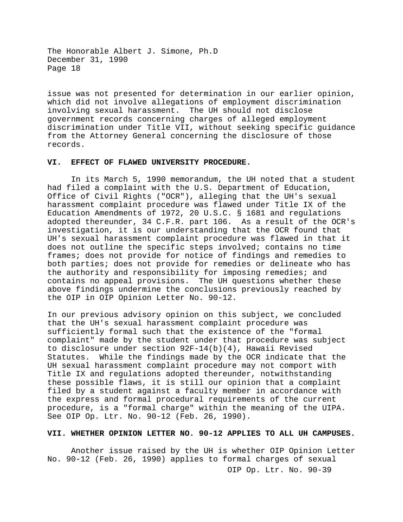issue was not presented for determination in our earlier opinion, which did not involve allegations of employment discrimination involving sexual harassment. The UH should not disclose government records concerning charges of alleged employment discrimination under Title VII, without seeking specific guidance from the Attorney General concerning the disclosure of those records.

### **VI. EFFECT OF FLAWED UNIVERSITY PROCEDURE.**

In its March 5, 1990 memorandum, the UH noted that a student had filed a complaint with the U.S. Department of Education, Office of Civil Rights ("OCR"), alleging that the UH's sexual harassment complaint procedure was flawed under Title IX of the Education Amendments of 1972, 20 U.S.C. § 1681 and regulations adopted thereunder, 34 C.F.R. part 106. As a result of the OCR's investigation, it is our understanding that the OCR found that UH's sexual harassment complaint procedure was flawed in that it does not outline the specific steps involved; contains no time frames; does not provide for notice of findings and remedies to both parties; does not provide for remedies or delineate who has the authority and responsibility for imposing remedies; and contains no appeal provisions. The UH questions whether these above findings undermine the conclusions previously reached by the OIP in OIP Opinion Letter No. 90-12.

In our previous advisory opinion on this subject, we concluded that the UH's sexual harassment complaint procedure was sufficiently formal such that the existence of the "formal complaint" made by the student under that procedure was subject to disclosure under section 92F-14(b)(4), Hawaii Revised Statutes. While the findings made by the OCR indicate that the UH sexual harassment complaint procedure may not comport with Title IX and regulations adopted thereunder, notwithstanding these possible flaws, it is still our opinion that a complaint filed by a student against a faculty member in accordance with the express and formal procedural requirements of the current procedure, is a "formal charge" within the meaning of the UIPA. See OIP Op. Ltr. No. 90-12 (Feb. 26, 1990).

#### **VII. WHETHER OPINION LETTER NO. 90-12 APPLIES TO ALL UH CAMPUSES.**

OIP Op. Ltr. No. 90-39 Another issue raised by the UH is whether OIP Opinion Letter No. 90-12 (Feb. 26, 1990) applies to formal charges of sexual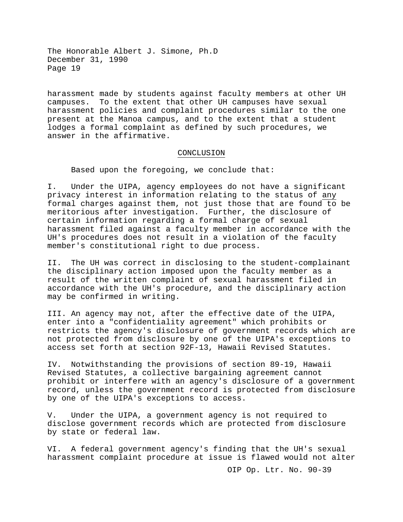harassment made by students against faculty members at other UH campuses. To the extent that other UH campuses have sexual harassment policies and complaint procedures similar to the one present at the Manoa campus, and to the extent that a student lodges a formal complaint as defined by such procedures, we answer in the affirmative.

## CONCLUSION

Based upon the foregoing, we conclude that:

I. Under the UIPA, agency employees do not have a significant privacy interest in information relating to the status of any formal charges against them, not just those that are found to be meritorious after investigation. Further, the disclosure of certain information regarding a formal charge of sexual harassment filed against a faculty member in accordance with the UH's procedures does not result in a violation of the faculty member's constitutional right to due process.

II. The UH was correct in disclosing to the student-complainant the disciplinary action imposed upon the faculty member as a result of the written complaint of sexual harassment filed in accordance with the UH's procedure, and the disciplinary action may be confirmed in writing.

III. An agency may not, after the effective date of the UIPA, enter into a "confidentiality agreement" which prohibits or restricts the agency's disclosure of government records which are not protected from disclosure by one of the UIPA's exceptions to access set forth at section 92F-13, Hawaii Revised Statutes.

IV. Notwithstanding the provisions of section 89-19, Hawaii Revised Statutes, a collective bargaining agreement cannot prohibit or interfere with an agency's disclosure of a government record, unless the government record is protected from disclosure by one of the UIPA's exceptions to access.

V. Under the UIPA, a government agency is not required to disclose government records which are protected from disclosure by state or federal law.

VI. A federal government agency's finding that the UH's sexual harassment complaint procedure at issue is flawed would not alter